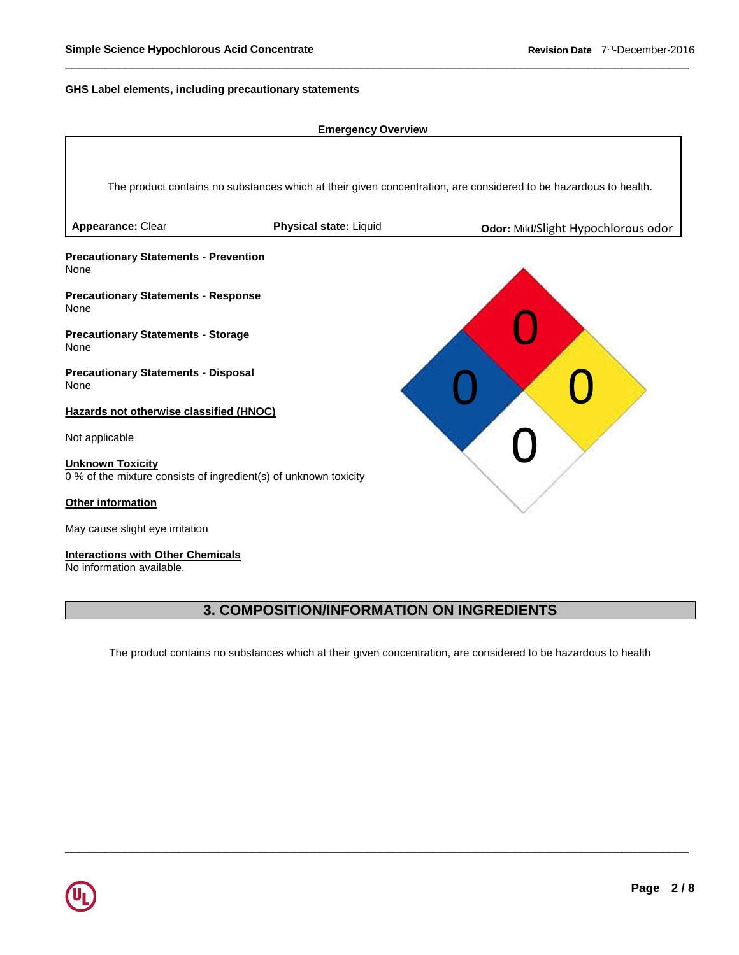#### **GHS Label elements, including precautionary statements**



### **3. COMPOSITION/INFORMATION ON INGREDIENTS**

The product contains no substances which at their given concentration, are considered to be hazardous to health

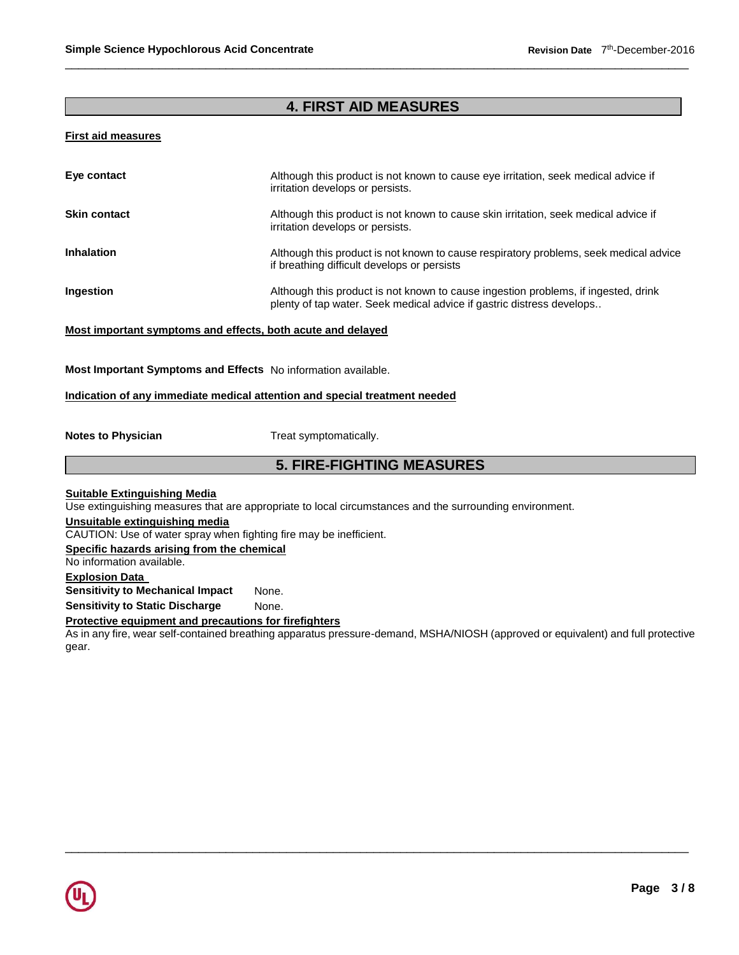# **4. FIRST AID MEASURES**

#### **First aid measures**

| Eye contact         | Although this product is not known to cause eye irritation, seek medical advice if<br>irritation develops or persists.                                      |
|---------------------|-------------------------------------------------------------------------------------------------------------------------------------------------------------|
| <b>Skin contact</b> | Although this product is not known to cause skin irritation, seek medical advice if<br>irritation develops or persists.                                     |
| <b>Inhalation</b>   | Although this product is not known to cause respiratory problems, seek medical advice<br>if breathing difficult develops or persists                        |
| <b>Ingestion</b>    | Although this product is not known to cause ingestion problems, if ingested, drink<br>plenty of tap water. Seek medical advice if gastric distress develops |

#### **Most important symptoms and effects, both acute and delayed**

**Most Important Symptoms and Effects** No information available.

#### **Indication of any immediate medical attention and special treatment needed**

**Notes to Physician**  Treat symptomatically.

### **5. FIRE-FIGHTING MEASURES**

**Suitable Extinguishing Media**

Use extinguishing measures that are appropriate to local circumstances and the surrounding environment.

**Unsuitable extinguishing media**

CAUTION: Use of water spray when fighting fire may be inefficient.

**Specific hazards arising from the chemical**

No information available.

### **Explosion Data**

**Sensitivity to Mechanical Impact** None.

**Sensitivity to Static Discharge Mone.** 

### **Protective equipment and precautions for firefighters**

As in any fire, wear self-contained breathing apparatus pressure-demand, MSHA/NIOSH (approved or equivalent) and full protective gear.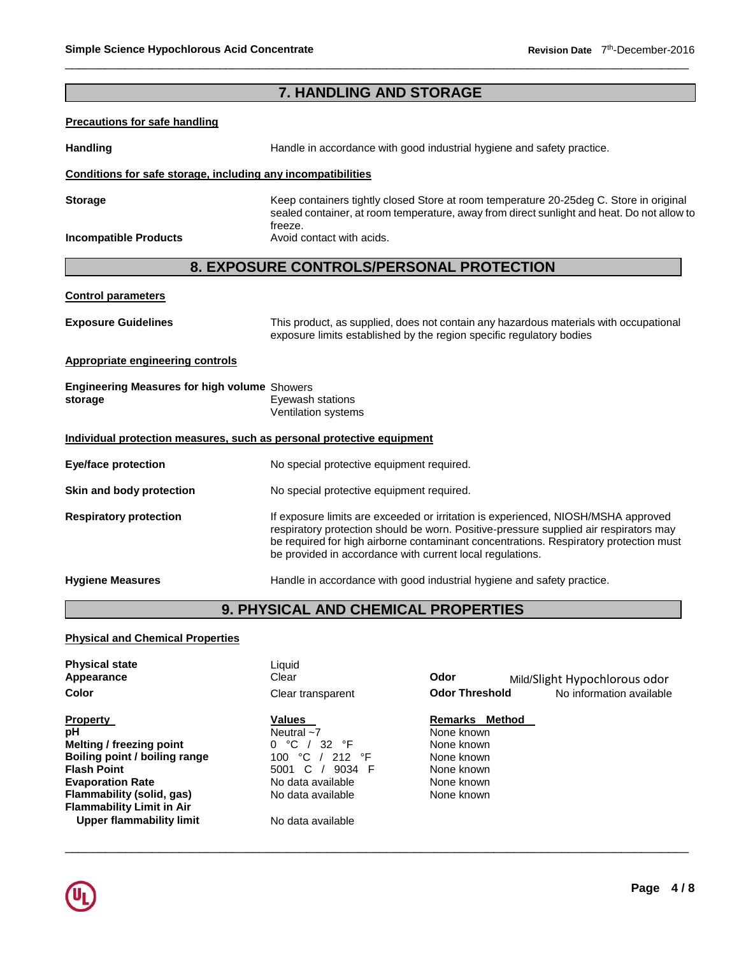# **7. HANDLING AND STORAGE**

#### **Precautions for safe handling**

Handling **Handling Handle in accordance with good industrial hygiene and safety practice.** 

#### **Conditions for safe storage, including any incompatibilities**

**Storage Keep containers tightly closed Store at room temperature 20-25deg C. Store in original** sealed container, at room temperature, away from direct sunlight and heat. Do not allow to freeze.<br>Avoid contact with acids.

### **8. EXPOSURE CONTROLS/PERSONAL PROTECTION**

#### **Control parameters**

**Incompatible Products** 

| <b>Exposure Guidelines</b> | This product, as supplied, does not contain any hazardous materials with occupational<br>exposure limits established by the region specific regulatory bodies |
|----------------------------|---------------------------------------------------------------------------------------------------------------------------------------------------------------|
|                            |                                                                                                                                                               |

# **Appropriate engineering controls**

| <b>Engineering Measures for high volume Showers</b> |                     |
|-----------------------------------------------------|---------------------|
| storage                                             | Eyewash stations    |
|                                                     | Ventilation systems |

#### **Individual protection measures, such as personal protective equipment**

| Eye/face protection           | No special protective equipment required.                                                                                                                                                                                                                                                                                        |
|-------------------------------|----------------------------------------------------------------------------------------------------------------------------------------------------------------------------------------------------------------------------------------------------------------------------------------------------------------------------------|
| Skin and body protection      | No special protective equipment required.                                                                                                                                                                                                                                                                                        |
| <b>Respiratory protection</b> | If exposure limits are exceeded or irritation is experienced, NIOSH/MSHA approved<br>respiratory protection should be worn. Positive-pressure supplied air respirators may<br>be required for high airborne contaminant concentrations. Respiratory protection must<br>be provided in accordance with current local regulations. |
| <b>Hygiene Measures</b>       | Handle in accordance with good industrial hygiene and safety practice.                                                                                                                                                                                                                                                           |

# **9. PHYSICAL AND CHEMICAL PROPERTIES**

### **Physical and Chemical Properties**

| <b>Physical state</b><br>Appearance | Liquid<br>Clear          | Odor                     | Mild/Slight Hypochlorous odor |
|-------------------------------------|--------------------------|--------------------------|-------------------------------|
| Color                               | Clear transparent        | <b>Odor Threshold</b>    | No information available      |
| <b>Property</b>                     | Values                   | Method<br><b>Remarks</b> |                               |
| рH                                  | Neutral $~1$             | None known               |                               |
| Melting / freezing point            | ℃<br>32 $\degree$ F<br>0 | None known               |                               |
| Boiling point / boiling range       | °C<br>°F<br>212<br>100   | None known               |                               |
| <b>Flash Point</b>                  | C.<br>9034 F<br>5001     | None known               |                               |
| <b>Evaporation Rate</b>             | No data available        | None known               |                               |
| Flammability (solid, gas)           | No data available        | None known               |                               |
| <b>Flammability Limit in Air</b>    |                          |                          |                               |
| Upper flammability limit            | No data available        |                          |                               |

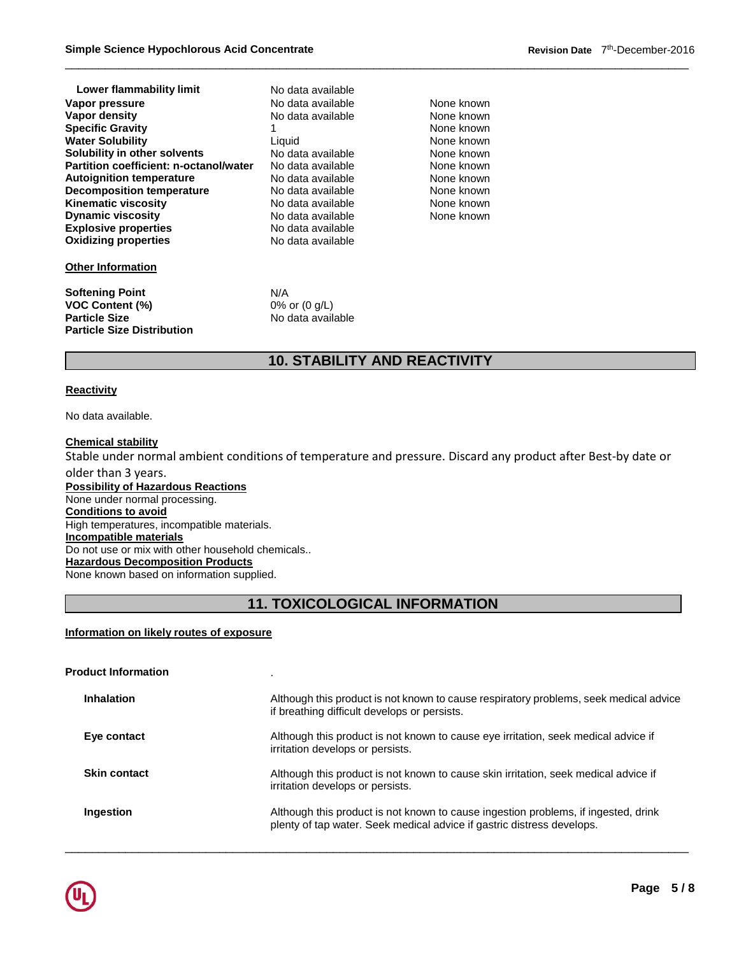| Lower flammability limit                      | No data available |            |
|-----------------------------------------------|-------------------|------------|
| Vapor pressure                                | No data available | None known |
| Vapor density                                 | No data available | None known |
| <b>Specific Gravity</b>                       |                   | None known |
| <b>Water Solubility</b>                       | Liquid            | None known |
| Solubility in other solvents                  | No data available | None known |
| <b>Partition coefficient: n-octanol/water</b> | No data available | None known |
| <b>Autoignition temperature</b>               | No data available | None known |
| <b>Decomposition temperature</b>              | No data available | None known |
| <b>Kinematic viscosity</b>                    | No data available | None known |
| <b>Dynamic viscosity</b>                      | No data available | None known |
| <b>Explosive properties</b>                   | No data available |            |
| <b>Oxidizing properties</b>                   | No data available |            |
| <b>Other Information</b>                      |                   |            |
| <b>Softening Point</b>                        | N/A               |            |
| <b>VOC Content (%)</b>                        | 0% or $(0 g/L)$   |            |
| <b>Particle Size</b>                          | No data available |            |

# **10. STABILITY AND REACTIVITY**

#### **Reactivity**

No data available.

**Particle Size Distribution** 

#### **Chemical stability**

Stable under normal ambient conditions of temperature and pressure. Discard any product after Best-by date or

older than 3 years. **Possibility of Hazardous Reactions** None under normal processing. **Conditions to avoid** High temperatures, incompatible materials. **Incompatible materials** Do not use or mix with other household chemicals.. **Hazardous Decomposition Products** None known based on information supplied.

# **11. TOXICOLOGICAL INFORMATION**

#### **Information on likely routes of exposure**

| <b>Product Information</b> |                                                                                                                                                              |
|----------------------------|--------------------------------------------------------------------------------------------------------------------------------------------------------------|
| Inhalation                 | Although this product is not known to cause respiratory problems, seek medical advice<br>if breathing difficult develops or persists.                        |
| Eye contact                | Although this product is not known to cause eye irritation, seek medical advice if<br>irritation develops or persists.                                       |
| <b>Skin contact</b>        | Although this product is not known to cause skin irritation, seek medical advice if<br>irritation develops or persists.                                      |
| Ingestion                  | Although this product is not known to cause ingestion problems, if ingested, drink<br>plenty of tap water. Seek medical advice if gastric distress develops. |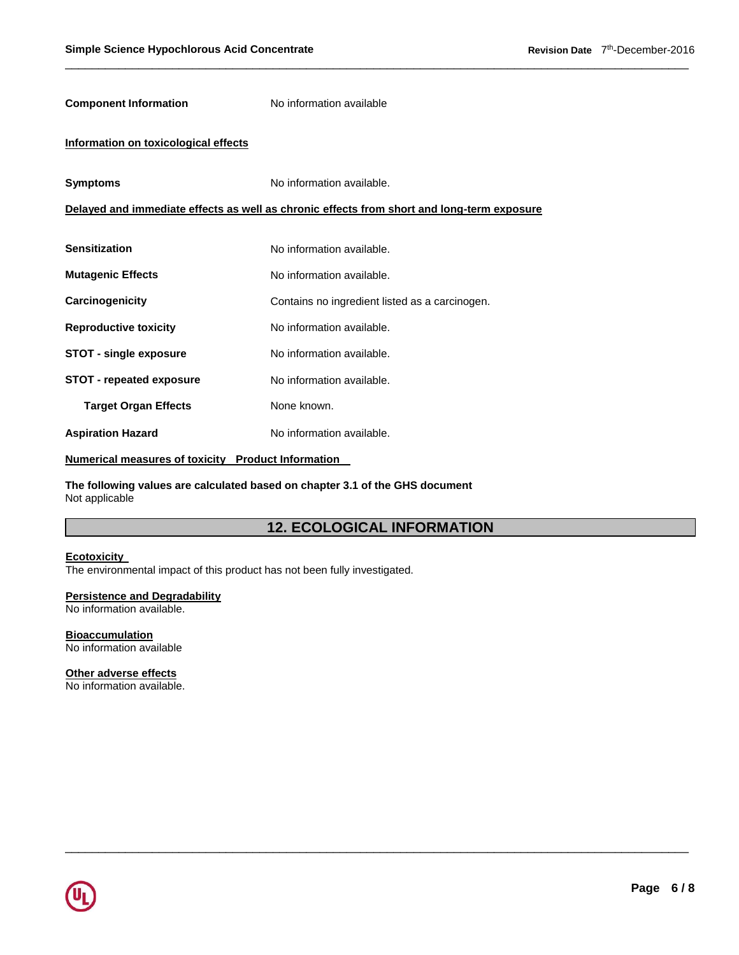| <b>Component Information</b>         | No information available                                                                   |
|--------------------------------------|--------------------------------------------------------------------------------------------|
| Information on toxicological effects |                                                                                            |
| <b>Symptoms</b>                      | No information available.                                                                  |
|                                      | Delayed and immediate effects as well as chronic effects from short and long-term exposure |
|                                      |                                                                                            |
| <b>Sensitization</b>                 | No information available.                                                                  |
| <b>Mutagenic Effects</b>             | No information available.                                                                  |
| Carcinogenicity                      | Contains no ingredient listed as a carcinogen.                                             |
| <b>Reproductive toxicity</b>         | No information available.                                                                  |
| <b>STOT - single exposure</b>        | No information available.                                                                  |
| <b>STOT - repeated exposure</b>      | No information available.                                                                  |
| <b>Target Organ Effects</b>          | None known.                                                                                |
| <b>Aspiration Hazard</b>             | No information available.                                                                  |

**Numerical measures of toxicity Product Information** 

**The following values are calculated based on chapter 3.1 of the GHS document** Not applicable

# **12. ECOLOGICAL INFORMATION**

\_\_\_\_\_\_\_\_\_\_\_\_\_\_\_\_\_\_\_\_\_\_\_\_\_\_\_\_\_\_\_\_\_\_\_\_\_\_\_\_\_\_\_\_\_\_\_\_\_\_\_\_\_\_\_\_\_\_\_\_\_\_\_\_\_\_\_\_\_\_\_\_\_\_\_\_\_\_\_\_\_\_\_\_\_\_\_\_\_\_\_\_\_

#### **Ecotoxicity**

The environmental impact of this product has not been fully investigated.

### **Persistence and Degradability**

No information available.

#### **Bioaccumulation** No information available

**Other adverse effects**

No information available.

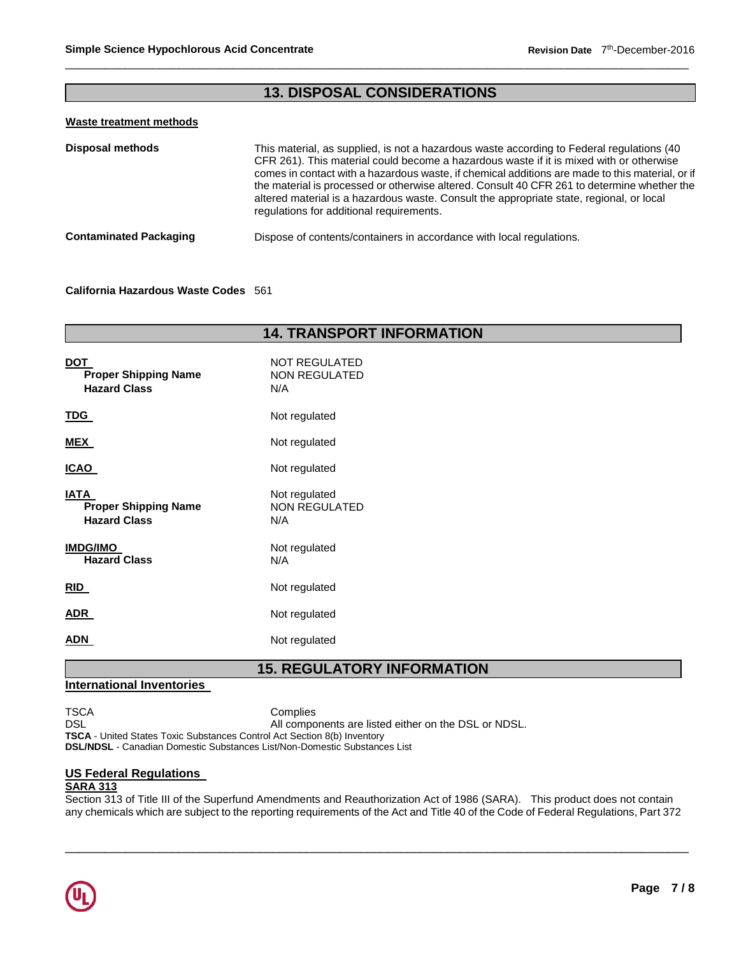# **13. DISPOSAL CONSIDERATIONS**

#### **Waste treatment methods**

| <b>Disposal methods</b>       | This material, as supplied, is not a hazardous waste according to Federal regulations (40)<br>CFR 261). This material could become a hazardous waste if it is mixed with or otherwise<br>comes in contact with a hazardous waste, if chemical additions are made to this material, or if<br>the material is processed or otherwise altered. Consult 40 CFR 261 to determine whether the<br>altered material is a hazardous waste. Consult the appropriate state, regional, or local<br>regulations for additional requirements. |
|-------------------------------|---------------------------------------------------------------------------------------------------------------------------------------------------------------------------------------------------------------------------------------------------------------------------------------------------------------------------------------------------------------------------------------------------------------------------------------------------------------------------------------------------------------------------------|
| <b>Contaminated Packaging</b> | Dispose of contents/containers in accordance with local regulations.                                                                                                                                                                                                                                                                                                                                                                                                                                                            |

#### **California Hazardous Waste Codes** 561

| <b>14. TRANSPORT INFORMATION</b>                                  |                                              |  |  |
|-------------------------------------------------------------------|----------------------------------------------|--|--|
| <b>DOT</b><br><b>Proper Shipping Name</b><br><b>Hazard Class</b>  | NOT REGULATED<br>NON REGULATED<br>N/A        |  |  |
| <b>TDG</b>                                                        | Not regulated                                |  |  |
| <b>MEX</b>                                                        | Not regulated                                |  |  |
| <b>ICAO</b>                                                       | Not regulated                                |  |  |
| <b>IATA</b><br><b>Proper Shipping Name</b><br><b>Hazard Class</b> | Not regulated<br><b>NON REGULATED</b><br>N/A |  |  |
| <b>IMDG/IMO</b><br><b>Hazard Class</b>                            | Not regulated<br>N/A                         |  |  |
| RID                                                               | Not regulated                                |  |  |
| <b>ADR</b>                                                        | Not regulated                                |  |  |
| <b>ADN</b>                                                        | Not regulated                                |  |  |

### **15. REGULATORY INFORMATION**

### **International Inventories**

TSCA Complies<br>DSL All compo

All components are listed either on the DSL or NDSL.

**TSCA** - United States Toxic Substances Control Act Section 8(b) Inventory

# **DSL/NDSL** - Canadian Domestic Substances List/Non-Domestic Substances List

### **US Federal Regulations**

### **SARA 313**

Section 313 of Title III of the Superfund Amendments and Reauthorization Act of 1986 (SARA). This product does not contain any chemicals which are subject to the reporting requirements of the Act and Title 40 of the Code of Federal Regulations, Part 372